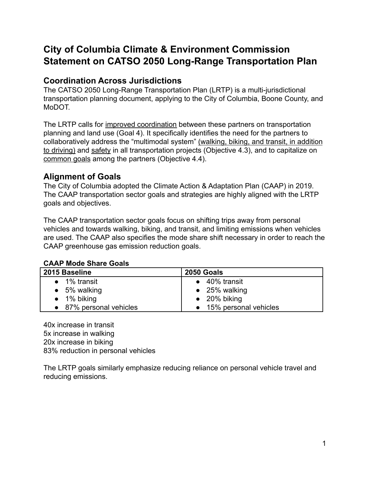# **City of Columbia Climate & Environment Commission Statement on CATSO 2050 Long-Range Transportation Plan**

## **Coordination Across Jurisdictions**

The CATSO 2050 Long-Range Transportation Plan (LRTP) is a multi-jurisdictional transportation planning document, applying to the City of Columbia, Boone County, and MoDOT.

The LRTP calls for improved coordination between these partners on transportation planning and land use (Goal 4). It specifically identifies the need for the partners to collaboratively address the "multimodal system" (walking, biking, and transit, in addition to driving) and safety in all transportation projects (Objective 4.3), and to capitalize on common goals among the partners (Objective 4.4).

# **Alignment of Goals**

The City of Columbia adopted the Climate Action & Adaptation Plan (CAAP) in 2019. The CAAP transportation sector goals and strategies are highly aligned with the LRTP goals and objectives.

The CAAP transportation sector goals focus on shifting trips away from personal vehicles and towards walking, biking, and transit, and limiting emissions when vehicles are used. The CAAP also specifies the mode share shift necessary in order to reach the CAAP greenhouse gas emission reduction goals.

#### **CAAP Mode Share Goals**

| 2015 Baseline           | 2050 Goals              |
|-------------------------|-------------------------|
| $\bullet$ 1% transit    | $\bullet$ 40% transit   |
| $\bullet$ 5% walking    | $\bullet$ 25% walking   |
| $\bullet$ 1% biking     | $\bullet$ 20% biking    |
| • 87% personal vehicles | • 15% personal vehicles |

40x increase in transit 5x increase in walking 20x increase in biking 83% reduction in personal vehicles

The LRTP goals similarly emphasize reducing reliance on personal vehicle travel and reducing emissions.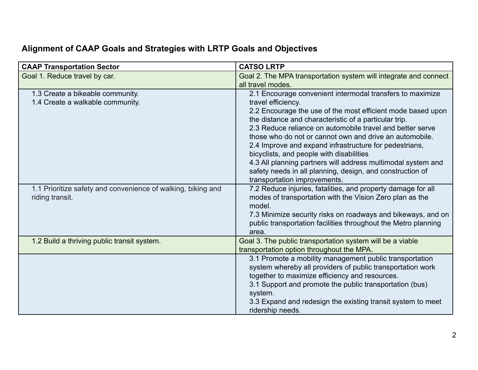# **Alignment of CAAP Goals and Strategies with LRTP Goals and Objectives**

| <b>CAAP Transportation Sector</b>                                               | <b>CATSO LRTP</b>                                                                                                                                                                                                                                                                                                                                                                                                                                                                                                                                                                                  |
|---------------------------------------------------------------------------------|----------------------------------------------------------------------------------------------------------------------------------------------------------------------------------------------------------------------------------------------------------------------------------------------------------------------------------------------------------------------------------------------------------------------------------------------------------------------------------------------------------------------------------------------------------------------------------------------------|
| Goal 1. Reduce travel by car.                                                   | Goal 2. The MPA transportation system will integrate and connect<br>all travel modes.                                                                                                                                                                                                                                                                                                                                                                                                                                                                                                              |
| 1.3 Create a bikeable community.<br>1.4 Create a walkable community.            | 2.1 Encourage convenient intermodal transfers to maximize<br>travel efficiency.<br>2.2 Encourage the use of the most efficient mode based upon<br>the distance and characteristic of a particular trip.<br>2.3 Reduce reliance on automobile travel and better serve<br>those who do not or cannot own and drive an automobile.<br>2.4 Improve and expand infrastructure for pedestrians,<br>bicyclists, and people with disabilities<br>4.3 All planning partners will address multimodal system and<br>safety needs in all planning, design, and construction of<br>transportation improvements. |
| 1.1 Prioritize safety and convenience of walking, biking and<br>riding transit. | 7.2 Reduce injuries, fatalities, and property damage for all<br>modes of transportation with the Vision Zero plan as the<br>model.<br>7.3 Minimize security risks on roadways and bikeways, and on<br>public transportation facilities throughout the Metro planning<br>area.                                                                                                                                                                                                                                                                                                                      |
| 1.2 Build a thriving public transit system.                                     | Goal 3. The public transportation system will be a viable<br>transportation option throughout the MPA.                                                                                                                                                                                                                                                                                                                                                                                                                                                                                             |
|                                                                                 | 3.1 Promote a mobility management public transportation<br>system whereby all providers of public transportation work<br>together to maximize efficiency and resources.<br>3.1 Support and promote the public transportation (bus)<br>system.<br>3.3 Expand and redesign the existing transit system to meet<br>ridership needs.                                                                                                                                                                                                                                                                   |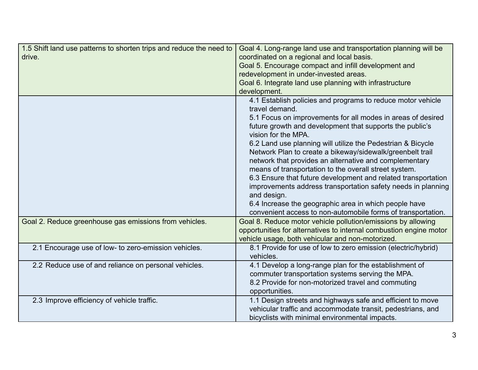| 1.5 Shift land use patterns to shorten trips and reduce the need to<br>drive. | Goal 4. Long-range land use and transportation planning will be<br>coordinated on a regional and local basis.<br>Goal 5. Encourage compact and infill development and<br>redevelopment in under-invested areas.<br>Goal 6. Integrate land use planning with infrastructure<br>development.                                                                                                                                                                                                                                                                                                                                                                                                                                                              |
|-------------------------------------------------------------------------------|---------------------------------------------------------------------------------------------------------------------------------------------------------------------------------------------------------------------------------------------------------------------------------------------------------------------------------------------------------------------------------------------------------------------------------------------------------------------------------------------------------------------------------------------------------------------------------------------------------------------------------------------------------------------------------------------------------------------------------------------------------|
|                                                                               | 4.1 Establish policies and programs to reduce motor vehicle<br>travel demand.<br>5.1 Focus on improvements for all modes in areas of desired<br>future growth and development that supports the public's<br>vision for the MPA.<br>6.2 Land use planning will utilize the Pedestrian & Bicycle<br>Network Plan to create a bikeway/sidewalk/greenbelt trail<br>network that provides an alternative and complementary<br>means of transportation to the overall street system.<br>6.3 Ensure that future development and related transportation<br>improvements address transportation safety needs in planning<br>and design.<br>6.4 Increase the geographic area in which people have<br>convenient access to non-automobile forms of transportation. |
| Goal 2. Reduce greenhouse gas emissions from vehicles.                        | Goal 8. Reduce motor vehicle pollution/emissions by allowing<br>opportunities for alternatives to internal combustion engine motor<br>vehicle usage, both vehicular and non-motorized.                                                                                                                                                                                                                                                                                                                                                                                                                                                                                                                                                                  |
| 2.1 Encourage use of low- to zero-emission vehicles.                          | 8.1 Provide for use of low to zero emission (electric/hybrid)<br>vehicles.                                                                                                                                                                                                                                                                                                                                                                                                                                                                                                                                                                                                                                                                              |
| 2.2 Reduce use of and reliance on personal vehicles.                          | 4.1 Develop a long-range plan for the establishment of<br>commuter transportation systems serving the MPA.<br>8.2 Provide for non-motorized travel and commuting<br>opportunities.                                                                                                                                                                                                                                                                                                                                                                                                                                                                                                                                                                      |
| 2.3 Improve efficiency of vehicle traffic.                                    | 1.1 Design streets and highways safe and efficient to move<br>vehicular traffic and accommodate transit, pedestrians, and<br>bicyclists with minimal environmental impacts.                                                                                                                                                                                                                                                                                                                                                                                                                                                                                                                                                                             |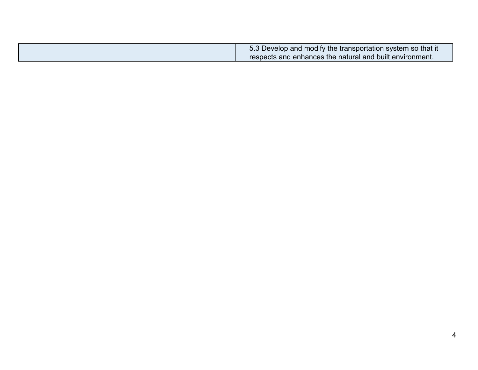| 5.3 Develop and modify the transportation system so that it |
|-------------------------------------------------------------|
| respects and enhances the natural and built environment.    |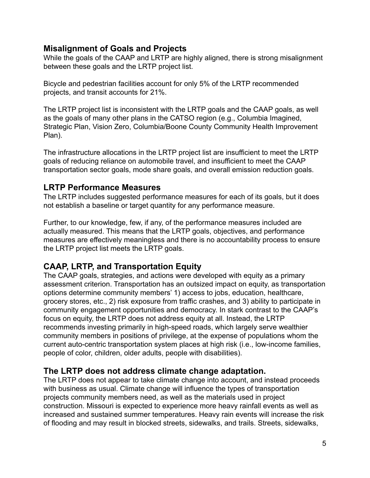### **Misalignment of Goals and Projects**

While the goals of the CAAP and LRTP are highly aligned, there is strong misalignment between these goals and the LRTP project list.

Bicycle and pedestrian facilities account for only 5% of the LRTP recommended projects, and transit accounts for 21%.

The LRTP project list is inconsistent with the LRTP goals and the CAAP goals, as well as the goals of many other plans in the CATSO region (e.g., Columbia Imagined, Strategic Plan, Vision Zero, Columbia/Boone County Community Health Improvement Plan).

The infrastructure allocations in the LRTP project list are insufficient to meet the LRTP goals of reducing reliance on automobile travel, and insufficient to meet the CAAP transportation sector goals, mode share goals, and overall emission reduction goals.

## **LRTP Performance Measures**

The LRTP includes suggested performance measures for each of its goals, but it does not establish a baseline or target quantity for any performance measure.

Further, to our knowledge, few, if any, of the performance measures included are actually measured. This means that the LRTP goals, objectives, and performance measures are effectively meaningless and there is no accountability process to ensure the LRTP project list meets the LRTP goals.

# **CAAP, LRTP, and Transportation Equity**

The CAAP goals, strategies, and actions were developed with equity as a primary assessment criterion. Transportation has an outsized impact on equity, as transportation options determine community members' 1) access to jobs, education, healthcare, grocery stores, etc., 2) risk exposure from traffic crashes, and 3) ability to participate in community engagement opportunities and democracy. In stark contrast to the CAAP's focus on equity, the LRTP does not address equity at all. Instead, the LRTP recommends investing primarily in high-speed roads, which largely serve wealthier community members in positions of privilege, at the expense of populations whom the current auto-centric transportation system places at high risk (i.e., low-income families, people of color, children, older adults, people with disabilities).

## **The LRTP does not address climate change adaptation.**

The LRTP does not appear to take climate change into account, and instead proceeds with business as usual. Climate change will influence the types of transportation projects community members need, as well as the materials used in project construction. Missouri is expected to experience more heavy rainfall events as well as increased and sustained summer temperatures. Heavy rain events will increase the risk of flooding and may result in blocked streets, sidewalks, and trails. Streets, sidewalks,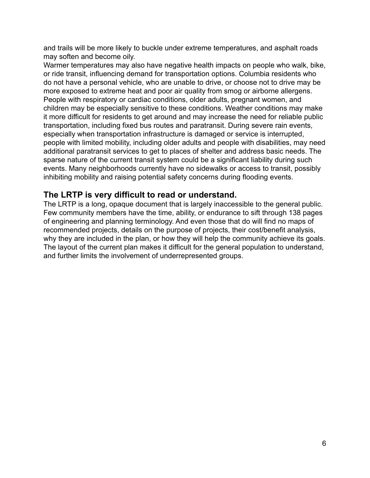and trails will be more likely to buckle under extreme temperatures, and asphalt roads may soften and become oily.

Warmer temperatures may also have negative health impacts on people who walk, bike, or ride transit, influencing demand for transportation options. Columbia residents who do not have a personal vehicle, who are unable to drive, or choose not to drive may be more exposed to extreme heat and poor air quality from smog or airborne allergens. People with respiratory or cardiac conditions, older adults, pregnant women, and children may be especially sensitive to these conditions. Weather conditions may make it more difficult for residents to get around and may increase the need for reliable public transportation, including fixed bus routes and paratransit. During severe rain events, especially when transportation infrastructure is damaged or service is interrupted, people with limited mobility, including older adults and people with disabilities, may need additional paratransit services to get to places of shelter and address basic needs. The sparse nature of the current transit system could be a significant liability during such events. Many neighborhoods currently have no sidewalks or access to transit, possibly inhibiting mobility and raising potential safety concerns during flooding events.

## **The LRTP is very difficult to read or understand.**

The LRTP is a long, opaque document that is largely inaccessible to the general public. Few community members have the time, ability, or endurance to sift through 138 pages of engineering and planning terminology. And even those that do will find no maps of recommended projects, details on the purpose of projects, their cost/benefit analysis, why they are included in the plan, or how they will help the community achieve its goals. The layout of the current plan makes it difficult for the general population to understand, and further limits the involvement of underrepresented groups.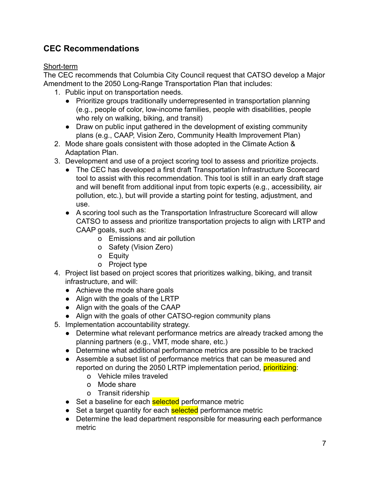# **CEC Recommendations**

#### Short-term

The CEC recommends that Columbia City Council request that CATSO develop a Major Amendment to the 2050 Long-Range Transportation Plan that includes:

- 1. Public input on transportation needs.
	- Prioritize groups traditionally underrepresented in transportation planning (e.g., people of color, low-income families, people with disabilities, people who rely on walking, biking, and transit)
	- Draw on public input gathered in the development of existing community plans (e.g., CAAP, Vision Zero, Community Health Improvement Plan)
- 2. Mode share goals consistent with those adopted in the Climate Action & Adaptation Plan.
- 3. Development and use of a project scoring tool to assess and prioritize projects.
	- The CEC has developed a first draft Transportation Infrastructure Scorecard tool to assist with this recommendation. This tool is still in an early draft stage and will benefit from additional input from topic experts (e.g., accessibility, air pollution, etc.), but will provide a starting point for testing, adjustment, and use.
	- A scoring tool such as the Transportation Infrastructure Scorecard will allow CATSO to assess and prioritize transportation projects to align with LRTP and CAAP goals, such as:
		- o Emissions and air pollution
		- o Safety (Vision Zero)
		- o Equity
		- o Project type
- 4. Project list based on project scores that prioritizes walking, biking, and transit infrastructure, and will:
	- Achieve the mode share goals
	- Align with the goals of the LRTP
	- Align with the goals of the CAAP
	- Align with the goals of other CATSO-region community plans
- 5. Implementation accountability strategy.
	- Determine what relevant performance metrics are already tracked among the planning partners (e.g., VMT, mode share, etc.)
	- Determine what additional performance metrics are possible to be tracked
	- Assemble a subset list of performance metrics that can be measured and reported on during the 2050 LRTP implementation period, *prioritizing*:
		- o Vehicle miles traveled
		- o Mode share
		- o Transit ridership
	- Set a baseline for each **selected** performance metric
	- Set a target quantity for each **selected** performance metric
	- Determine the lead department responsible for measuring each performance metric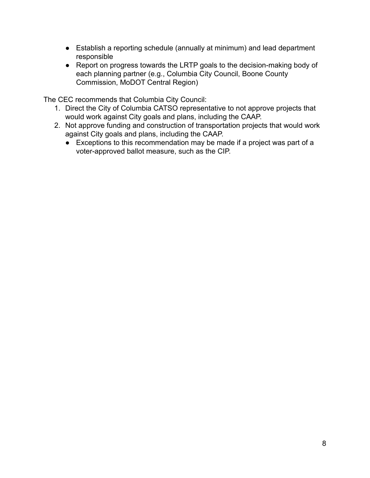- Establish a reporting schedule (annually at minimum) and lead department responsible
- Report on progress towards the LRTP goals to the decision-making body of each planning partner (e.g., Columbia City Council, Boone County Commission, MoDOT Central Region)

The CEC recommends that Columbia City Council:

- 1. Direct the City of Columbia CATSO representative to not approve projects that would work against City goals and plans, including the CAAP.
- 2. Not approve funding and construction of transportation projects that would work against City goals and plans, including the CAAP.
	- Exceptions to this recommendation may be made if a project was part of a voter-approved ballot measure, such as the CIP.